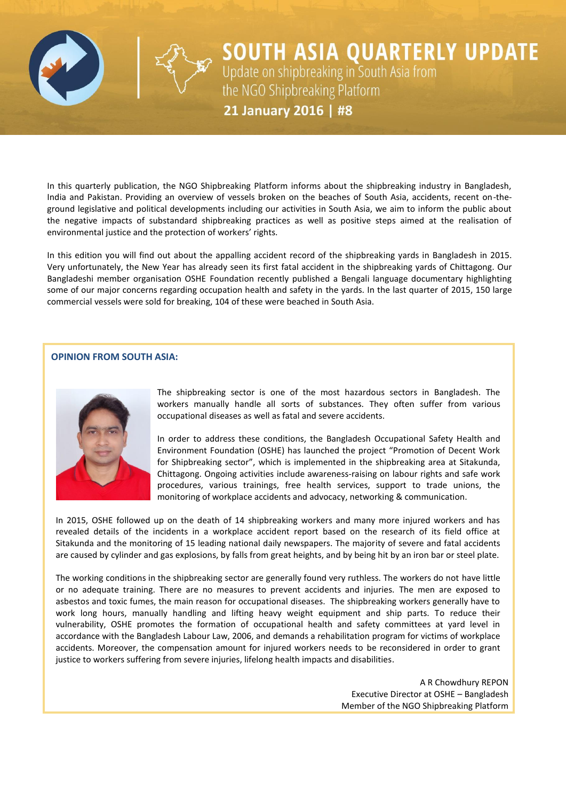

**SOUTH ASIA QUARTERLY UPDATE**<br>Update on shipbreaking in South Asia from<br>the NGO Shipbreaking Platform 21 January 2016 | #8

In this quarterly publication, the NGO Shipbreaking Platform informs about the shipbreaking industry in Bangladesh, India and Pakistan. Providing an overview of vessels broken on the beaches of South Asia, accidents, recent on-theground legislative and political developments including our activities in South Asia, we aim to inform the public about the negative impacts of substandard shipbreaking practices as well as positive steps aimed at the realisation of environmental justice and the protection of workers' rights.

In this edition you will find out about the appalling accident record of the shipbreaking yards in Bangladesh in 2015. Very unfortunately, the New Year has already seen its first fatal accident in the shipbreaking yards of Chittagong. Our Bangladeshi member organisation OSHE Foundation recently published a Bengali language documentary highlighting some of our major concerns regarding occupation health and safety in the yards. In the last quarter of 2015, 150 large commercial vessels were sold for breaking, 104 of these were beached in South Asia.

#### **OPINION FROM SOUTH ASIA:**



The shipbreaking sector is one of the most hazardous sectors in Bangladesh. The workers manually handle all sorts of substances. They often suffer from various occupational diseases as well as fatal and severe accidents.

In order to address these conditions, the Bangladesh Occupational Safety Health and Environment Foundation (OSHE) has launched the project "Promotion of Decent Work for Shipbreaking sector", which is implemented in the shipbreaking area at Sitakunda, Chittagong. Ongoing activities include awareness-raising on labour rights and safe work procedures, various trainings, free health services, support to trade unions, the monitoring of workplace accidents and advocacy, networking & communication.

In 2015, OSHE followed up on the death of 14 shipbreaking workers and many more injured workers and has revealed details of the incidents in a workplace accident report based on the research of its field office at Sitakunda and the monitoring of 15 leading national daily newspapers. The majority of severe and fatal accidents are caused by cylinder and gas explosions, by falls from great heights, and by being hit by an iron bar or steel plate.

The working conditions in the shipbreaking sector are generally found very ruthless. The workers do not have little or no adequate training. There are no measures to prevent accidents and injuries. The men are exposed to asbestos and toxic fumes, the main reason for occupational diseases. The shipbreaking workers generally have to work long hours, manually handling and lifting heavy weight equipment and ship parts. To reduce their vulnerability, OSHE promotes the formation of occupational health and safety committees at yard level in accordance with the Bangladesh Labour Law, 2006, and demands a rehabilitation program for victims of workplace accidents. Moreover, the compensation amount for injured workers needs to be reconsidered in order to grant justice to workers suffering from severe injuries, lifelong health impacts and disabilities.

> A R Chowdhury REPON Executive Director at OSHE – Bangladesh Member of the NGO Shipbreaking Platform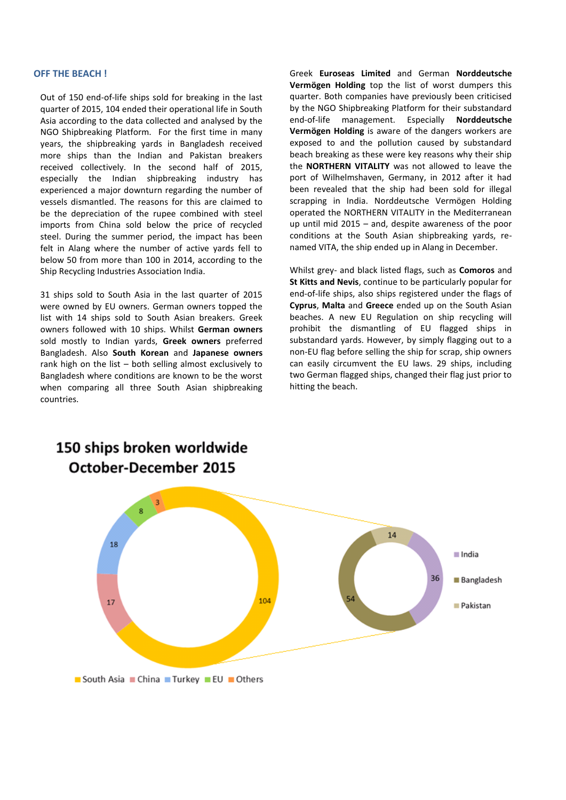#### **OFF THE BEACH !**

Out of 150 end-of-life ships sold for breaking in the last quarter of 2015, 104 ended their operational life in South Asia according to the data collected and analysed by the NGO Shipbreaking Platform. For the first time in many years, the shipbreaking yards in Bangladesh received more ships than the Indian and Pakistan breakers received collectively. In the second half of 2015, especially the Indian shipbreaking industry has experienced a major downturn regarding the number of vessels dismantled. The reasons for this are claimed to be the depreciation of the rupee combined with steel imports from China sold below the price of recycled steel. During the summer period, the impact has been felt in Alang where the number of active yards fell to below 50 from more than 100 in 2014, according to the Ship Recycling Industries Association India.

31 ships sold to South Asia in the last quarter of 2015 were owned by EU owners. German owners topped the list with 14 ships sold to South Asian breakers. Greek owners followed with 10 ships. Whilst **German owners** sold mostly to Indian yards, **Greek owners** preferred Bangladesh. Also **South Korean** and **Japanese owners** rank high on the list – both selling almost exclusively to Bangladesh where conditions are known to be the worst when comparing all three South Asian shipbreaking countries.

Greek **Euroseas Limited** and German **Norddeutsche Vermögen Holding** top the list of worst dumpers this quarter. Both companies have previously been criticised by the NGO Shipbreaking Platform for their substandard end-of-life management. Especially **Norddeutsche Vermögen Holding** is aware of the dangers workers are exposed to and the pollution caused by substandard beach breaking as these were key reasons why their ship the **NORTHERN VITALITY** was not allowed to leave the port of Wilhelmshaven, Germany, in 2012 after it had been revealed that the ship had been sold for illegal scrapping in India. Norddeutsche Vermögen Holding operated the NORTHERN VITALITY in the Mediterranean up until mid 2015 – and, despite awareness of the poor conditions at the South Asian shipbreaking yards, renamed VITA, the ship ended up in Alang in December.

Whilst grey- and black listed flags, such as **Comoros** and **St Kitts and Nevis**, continue to be particularly popular for end-of-life ships, also ships registered under the flags of **Cyprus**, **Malta** and **Greece** ended up on the South Asian beaches. A new EU Regulation on ship recycling will prohibit the dismantling of EU flagged ships in substandard yards. However, by simply flagging out to a non-EU flag before selling the ship for scrap, ship owners can easily circumvent the EU laws. 29 ships, including two German flagged ships, changed their flag just prior to hitting the beach.



# 150 ships broken worldwide **October-December 2015**

South Asia China Turkey EU Others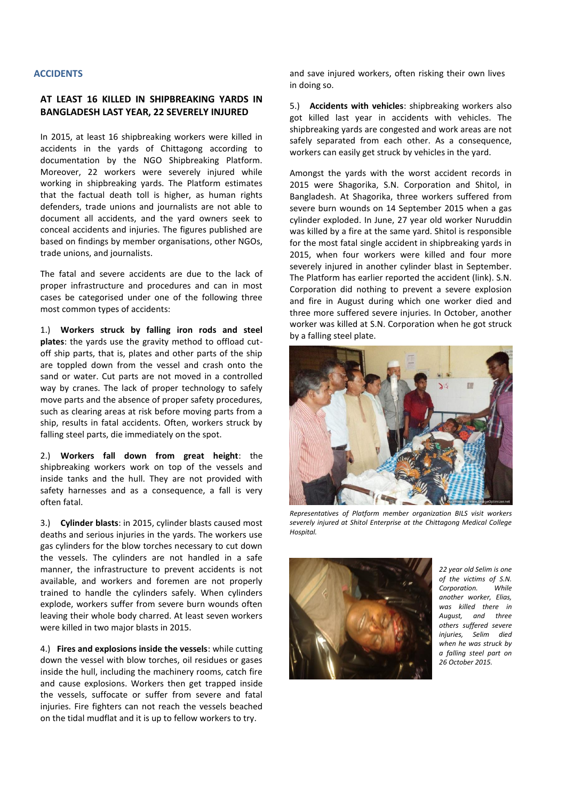#### **ACCIDENTS**

# **AT LEAST 16 KILLED IN SHIPBREAKING YARDS IN BANGLADESH LAST YEAR, 22 SEVERELY INJURED**

In 2015, at least 16 shipbreaking workers were killed in accidents in the yards of Chittagong according to documentation by the NGO Shipbreaking Platform. Moreover, 22 workers were severely injured while working in shipbreaking yards. The Platform estimates that the factual death toll is higher, as human rights defenders, trade unions and journalists are not able to document all accidents, and the yard owners seek to conceal accidents and injuries. The figures published are based on findings by member organisations, other NGOs, trade unions, and journalists.

The fatal and severe accidents are due to the lack of proper infrastructure and procedures and can in most cases be categorised under one of the following three most common types of accidents:

1.) **Workers struck by falling iron rods and steel plates**: the yards use the gravity method to offload cutoff ship parts, that is, plates and other parts of the ship are toppled down from the vessel and crash onto the sand or water. Cut parts are not moved in a controlled way by cranes. The lack of proper technology to safely move parts and the absence of proper safety procedures, such as clearing areas at risk before moving parts from a ship, results in fatal accidents. Often, workers struck by falling steel parts, die immediately on the spot.

2.) **Workers fall down from great height**: the shipbreaking workers work on top of the vessels and inside tanks and the hull. They are not provided with safety harnesses and as a consequence, a fall is very often fatal.

3.) **Cylinder blasts**: in 2015, cylinder blasts caused most deaths and serious injuries in the yards. The workers use gas cylinders for the blow torches necessary to cut down the vessels. The cylinders are not handled in a safe manner, the infrastructure to prevent accidents is not available, and workers and foremen are not properly trained to handle the cylinders safely. When cylinders explode, workers suffer from severe burn wounds often leaving their whole body charred. At least seven workers were killed in two major blasts in 2015.

4.) **Fires and explosions inside the vessels**: while cutting down the vessel with blow torches, oil residues or gases inside the hull, including the machinery rooms, catch fire and cause explosions. Workers then get trapped inside the vessels, suffocate or suffer from severe and fatal injuries. Fire fighters can not reach the vessels beached on the tidal mudflat and it is up to fellow workers to try.

and save injured workers, often risking their own lives in doing so.

5.) **Accidents with vehicles**: shipbreaking workers also got killed last year in accidents with vehicles. The shipbreaking yards are congested and work areas are not safely separated from each other. As a consequence, workers can easily get struck by vehicles in the yard.

Amongst the yards with the worst accident records in 2015 were Shagorika, S.N. Corporation and Shitol, in Bangladesh. At Shagorika, three workers suffered from severe burn wounds on 14 September 2015 when a gas cylinder exploded. In June, 27 year old worker Nuruddin was killed by a fire at the same yard. Shitol is responsible for the most fatal single accident in shipbreaking yards in 2015, when four workers were killed and four more severely injured in another cylinder blast in September. The Platform has earlier reported the accident (link). S.N. Corporation did nothing to prevent a severe explosion and fire in August during which one worker died and three more suffered severe injuries. In October, another worker was killed at S.N. Corporation when he got struck by a falling steel plate.



*Representatives of Platform member organization BILS visit workers severely injured at Shitol Enterprise at the Chittagong Medical College Hospital.*



*22 year old Selim is one of the victims of S.N. Corporation. While another worker, Elias, was killed there in August, and three others suffered severe injuries, Selim died when he was struck by a falling steel part on 26 October 2015.*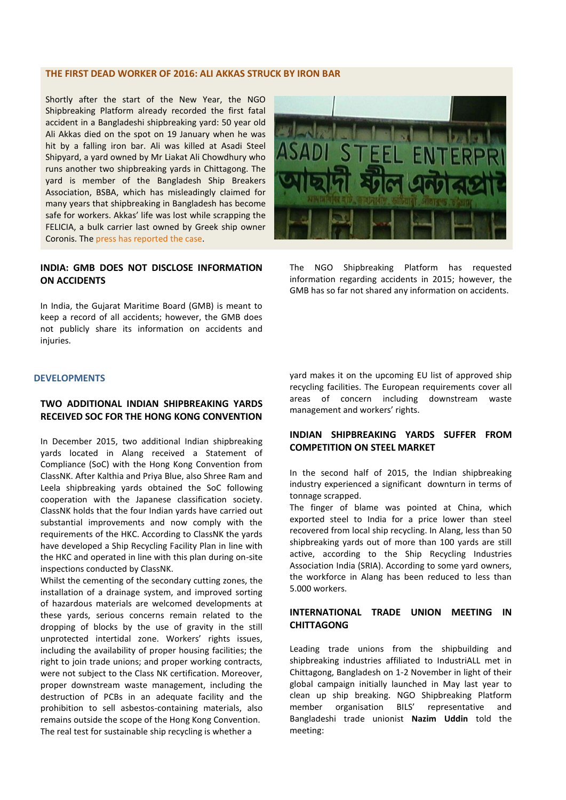#### **THE FIRST DEAD WORKER OF 2016: ALI AKKAS STRUCK BY IRON BAR**

Shortly after the start of the New Year, the NGO Shipbreaking Platform already recorded the first fatal accident in a Bangladeshi shipbreaking yard: 50 year old Ali Akkas died on the spot on 19 January when he was hit by a falling iron bar. Ali was killed at Asadi Steel Shipyard, a yard owned by Mr Liakat Ali Chowdhury who runs another two shipbreaking yards in Chittagong. The yard is member of the Bangladesh Ship Breakers Association, BSBA, which has misleadingly claimed for many years that shipbreaking in Bangladesh has become safe for workers. Akkas' life was lost while scrapping the FELICIA, a bulk carrier last owned by Greek ship owner Coronis. The [press has reported the case.](http://worldmaritimenews.com/archives/181112/bangladeshi-ship-breaking-yard-claims-another-victim/)

# **INDIA: GMB DOES NOT DISCLOSE INFORMATION ON ACCIDENTS**

In India, the Gujarat Maritime Board (GMB) is meant to keep a record of all accidents; however, the GMB does not publicly share its information on accidents and injuries.



The NGO Shipbreaking Platform has requested information regarding accidents in 2015; however, the GMB has so far not shared any information on accidents.

#### **DEVELOPMENTS**

## **TWO ADDITIONAL INDIAN SHIPBREAKING YARDS RECEIVED SOC FOR THE HONG KONG CONVENTION**

In December 2015, two additional Indian shipbreaking yards located in Alang received a Statement of Compliance (SoC) with the Hong Kong Convention from ClassNK. After Kalthia and Priya Blue, also Shree Ram and Leela shipbreaking yards obtained the SoC following cooperation with the Japanese classification society. ClassNK holds that the four Indian yards have carried out substantial improvements and now comply with the requirements of the HKC. According to ClassNK the yards have developed a Ship Recycling Facility Plan in line with the HKC and operated in line with this plan during on-site inspections conducted by ClassNK.

Whilst the cementing of the secondary cutting zones, the installation of a drainage system, and improved sorting of hazardous materials are welcomed developments at these yards, serious concerns remain related to the dropping of blocks by the use of gravity in the still unprotected intertidal zone. Workers' rights issues, including the availability of proper housing facilities; the right to join trade unions; and proper working contracts, were not subject to the Class NK certification. Moreover, proper downstream waste management, including the destruction of PCBs in an adequate facility and the prohibition to sell asbestos-containing materials, also remains outside the scope of the Hong Kong Convention. The real test for sustainable ship recycling is whether a

yard makes it on the upcoming EU list of approved ship recycling facilities. The European requirements cover all areas of concern including downstream waste management and workers' rights.

# **INDIAN SHIPBREAKING YARDS SUFFER FROM COMPETITION ON STEEL MARKET**

In the second half of 2015, the Indian shipbreaking industry experienced a significant downturn in terms of tonnage scrapped.

The finger of blame was pointed at China, which exported steel to India for a price lower than steel recovered from local ship recycling. In Alang, less than 50 shipbreaking yards out of more than 100 yards are still active, according to the Ship Recycling Industries Association India (SRIA). According to some yard owners, the workforce in Alang has been reduced to less than 5.000 workers.

# **INTERNATIONAL TRADE UNION MEETING IN CHITTAGONG**

Leading trade unions from the shipbuilding and shipbreaking industries affiliated to IndustriALL met in Chittagong, Bangladesh on 1-2 November in light of their global campaign initially launched in May last year to clean up ship breaking. NGO Shipbreaking Platform member organisation BILS' representative and Bangladeshi trade unionist **Nazim Uddin** told the meeting: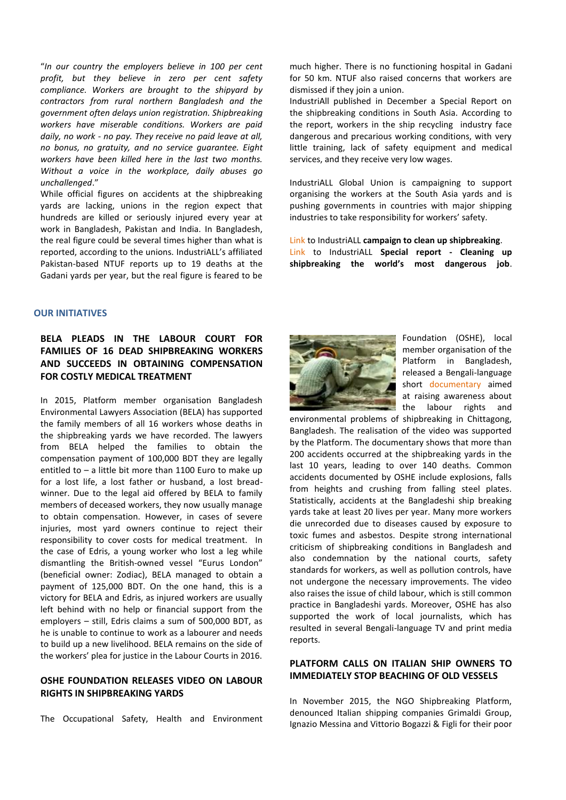"*In our country the employers believe in 100 per cent profit, but they believe in zero per cent safety compliance. Workers are brought to the shipyard by contractors from rural northern Bangladesh and the government often delays union registration. Shipbreaking workers have miserable conditions. Workers are paid daily, no work - no pay. They receive no paid leave at all, no bonus, no gratuity, and no service guarantee. Eight workers have been killed here in the last two months. Without a voice in the workplace, daily abuses go unchallenged*."

While official figures on accidents at the shipbreaking yards are lacking, unions in the region expect that hundreds are killed or seriously injured every year at work in Bangladesh, Pakistan and India. In Bangladesh, the real figure could be several times higher than what is reported, according to the unions. IndustriALL's affiliated Pakistan-based NTUF reports up to 19 deaths at the Gadani yards per year, but the real figure is feared to be

#### **OUR INITIATIVES**

# **BELA PLEADS IN THE LABOUR COURT FOR FAMILIES OF 16 DEAD SHIPBREAKING WORKERS AND SUCCEEDS IN OBTAINING COMPENSATION FOR COSTLY MEDICAL TREATMENT**

In 2015, Platform member organisation Bangladesh Environmental Lawyers Association (BELA) has supported the family members of all 16 workers whose deaths in the shipbreaking yards we have recorded. The lawyers from BELA helped the families to obtain the compensation payment of 100,000 BDT they are legally entitled to – a little bit more than 1100 Euro to make up for a lost life, a lost father or husband, a lost breadwinner. Due to the legal aid offered by BELA to family members of deceased workers, they now usually manage to obtain compensation. However, in cases of severe injuries, most yard owners continue to reject their responsibility to cover costs for medical treatment. In the case of Edris, a young worker who lost a leg while dismantling the British-owned vessel "Eurus London" (beneficial owner: Zodiac), BELA managed to obtain a payment of 125,000 BDT. On the one hand, this is a victory for BELA and Edris, as injured workers are usually left behind with no help or financial support from the employers – still, Edris claims a sum of 500,000 BDT, as he is unable to continue to work as a labourer and needs to build up a new livelihood. BELA remains on the side of the workers' plea for justice in the Labour Courts in 2016.

#### **OSHE FOUNDATION RELEASES VIDEO ON LABOUR RIGHTS IN SHIPBREAKING YARDS**

The Occupational Safety, Health and Environment

much higher. There is no functioning hospital in Gadani for 50 km. NTUF also raised concerns that workers are dismissed if they join a union.

IndustriAll published in December a Special Report on the shipbreaking conditions in South Asia. According to the report, workers in the ship recycling industry face dangerous and precarious working conditions, with very little training, lack of safety equipment and medical services, and they receive very low wages.

IndustriALL Global Union is campaigning to support organising the workers at the South Asia yards and is pushing governments in countries with major shipping industries to take responsibility for workers' safety.

[Link](http://www.industriall-union.org/campaign-to-clean-up-ship-breaking) to IndustriALL **campaign to clean up shipbreaking**. [Link](http://www.industriall-union.org/cleaning-up-ship-breaking-the-worlds-most-dangerous-job) to IndustriALL **Special report - Cleaning up shipbreaking the world's most dangerous job**.



Foundation (OSHE), local member organisation of the Platform in Bangladesh, released a Bengali-language short [documentary](https://www.youtube.com/watch?v=Zn-eo2sfLvg) aimed at raising awareness about the labour rights and

environmental problems of shipbreaking in Chittagong, Bangladesh. The realisation of the video was supported by the Platform. The documentary shows that more than 200 accidents occurred at the shipbreaking yards in the last 10 years, leading to over 140 deaths. Common accidents documented by OSHE include explosions, falls from heights and crushing from falling steel plates. Statistically, accidents at the Bangladeshi ship breaking yards take at least 20 lives per year. Many more workers die unrecorded due to diseases caused by exposure to toxic fumes and asbestos. Despite strong international criticism of shipbreaking conditions in Bangladesh and also condemnation by the national courts, safety standards for workers, as well as pollution controls, have not undergone the necessary improvements. The video also raises the issue of child labour, which is still common practice in Bangladeshi yards. Moreover, OSHE has also supported the work of local journalists, which has resulted in several Bengali-language TV and print media reports.

## **PLATFORM CALLS ON ITALIAN SHIP OWNERS TO IMMEDIATELY STOP BEACHING OF OLD VESSELS**

In November 2015, the NGO Shipbreaking Platform, denounced Italian shipping companies Grimaldi Group, Ignazio Messina and Vittorio Bogazzi & Figli for their poor